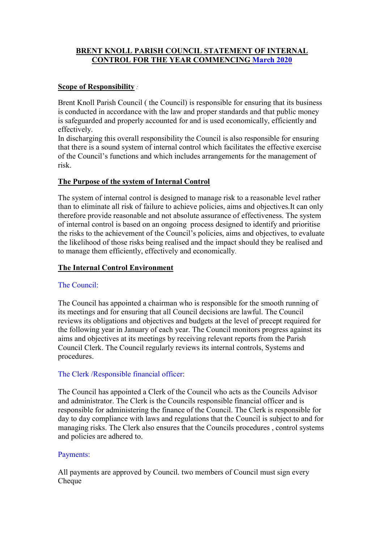# BRENT KNOLL PARISH COUNCIL STATEMENT OF INTERNAL CONTROL FOR THE YEAR COMMENCING March 2020

# Scope of Responsibility :

Brent Knoll Parish Council ( the Council) is responsible for ensuring that its business is conducted in accordance with the law and proper standards and that public money is safeguarded and properly accounted for and is used economically, efficiently and effectively.

In discharging this overall responsibility the Council is also responsible for ensuring that there is a sound system of internal control which facilitates the effective exercise of the Council's functions and which includes arrangements for the management of risk.

## The Purpose of the system of Internal Control

The system of internal control is designed to manage risk to a reasonable level rather than to eliminate all risk of failure to achieve policies, aims and objectives.It can only therefore provide reasonable and not absolute assurance of effectiveness. The system of internal control is based on an ongoing process designed to identify and prioritise the risks to the achievement of the Council's policies, aims and objectives, to evaluate the likelihood of those risks being realised and the impact should they be realised and to manage them efficiently, effectively and economically.

## The Internal Control Environment

### The Council:

The Council has appointed a chairman who is responsible for the smooth running of its meetings and for ensuring that all Council decisions are lawful. The Council reviews its obligations and objectives and budgets at the level of precept required for the following year in January of each year. The Council monitors progress against its aims and objectives at its meetings by receiving relevant reports from the Parish Council Clerk. The Council regularly reviews its internal controls, Systems and procedures.

# The Clerk /Responsible financial officer:

The Council has appointed a Clerk of the Council who acts as the Councils Advisor and administrator. The Clerk is the Councils responsible financial officer and is responsible for administering the finance of the Council. The Clerk is responsible for day to day compliance with laws and regulations that the Council is subject to and for managing risks. The Clerk also ensures that the Councils procedures , control systems and policies are adhered to.

### Payments:

All payments are approved by Council. two members of Council must sign every Cheque